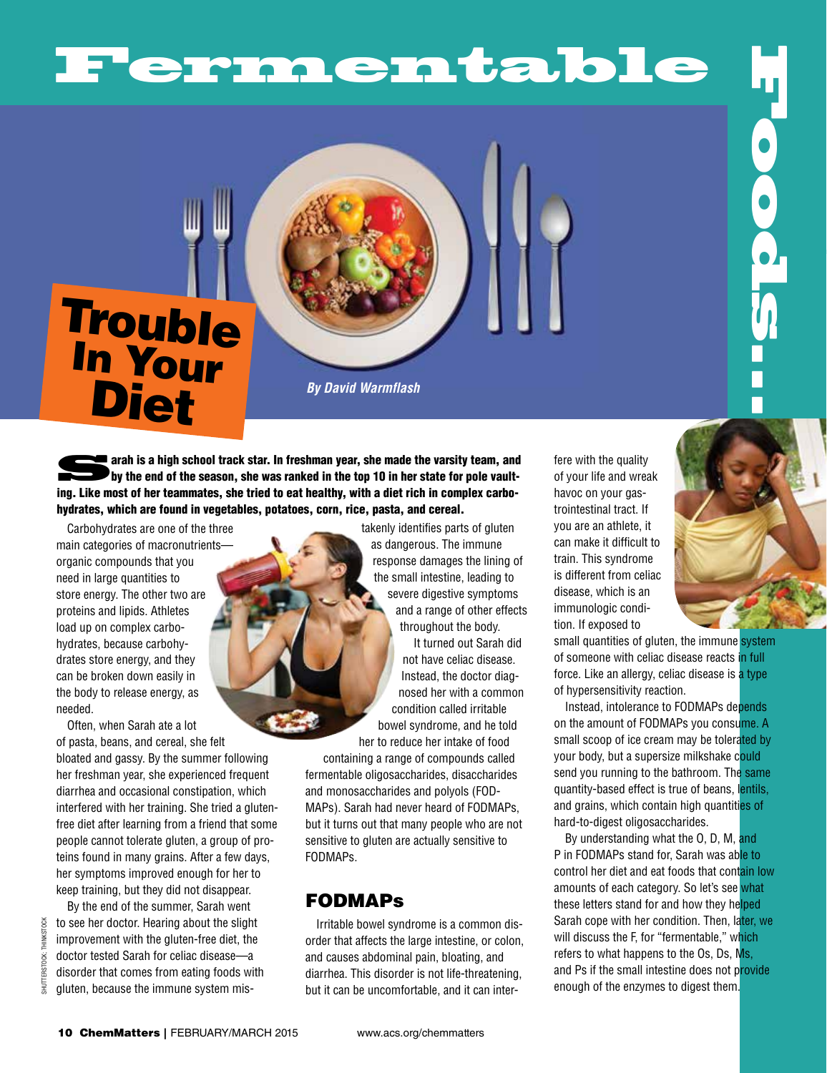# Fermentable

## **Trouble** In Your **Diet**

*By David Warmflash*

arah is a high school track star. In freshman year, she made the varsity team, and by the end of the season, she was ranked in the top 10 in her state for pole vaulting. Like most of her teammates, she tried to eat healthy, with a diet rich in complex carbohydrates, which are found in vegetables, potatoes, corn, rice, pasta, and cereal.

Carbohydrates are one of the three main categories of macronutrients organic compounds that you need in large quantities to store energy. The other two are proteins and lipids. Athletes load up on complex carbohydrates, because carbohydrates store energy, and they can be broken down easily in the body to release energy, as needed.

Often, when Sarah ate a lot of pasta, beans, and cereal, she felt bloated and gassy. By the summer following her freshman year, she experienced frequent diarrhea and occasional constipation, which interfered with her training. She tried a glutenfree diet after learning from a friend that some people cannot tolerate gluten, a group of proteins found in many grains. After a few days, her symptoms improved enough for her to keep training, but they did not disappear.

By the end of the summer, Sarah went to see her doctor. Hearing about the slight improvement with the gluten-free diet, the doctor tested Sarah for celiac disease—a disorder that comes from eating foods with gluten, because the immune system mis-

shutterstock; thinkstock

**HINKSTOCK** TOCK: SHUTTERST takenly identifies parts of gluten as dangerous. The immune response damages the lining of the small intestine, leading to severe digestive symptoms and a range of other effects throughout the body.

It turned out Sarah did not have celiac disease. Instead, the doctor diagnosed her with a common condition called irritable bowel syndrome, and he told her to reduce her intake of food

containing a range of compounds called fermentable oligosaccharides, disaccharides and monosaccharides and polyols (FOD-MAPs). Sarah had never heard of FODMAPs, but it turns out that many people who are not sensitive to gluten are actually sensitive to FODMAPs.

## FODMAPs

Irritable bowel syndrome is a common disorder that affects the large intestine, or colon, and causes abdominal pain, bloating, and diarrhea. This disorder is not life-threatening, but it can be uncomfortable, and it can inter-

fere with the quality of your life and wreak havoc on your gastrointestinal tract. If you are an athlete, it can make it difficult to train. This syndrome is different from celiac disease, which is an immunologic condition. If exposed to

small quantities of gluten, the immune system of someone with celiac disease reacts in full force. Like an allergy, celiac disease is a type of hypersensitivity reaction.

**Foods.** 

Instead, intolerance to FODMAPs depends on the amount of FODMAPs you consume. A small scoop of ice cream may be tolerated by your body, but a supersize milkshake could send you running to the bathroom. The same quantity-based effect is true of beans, lentils, and grains, which contain high quantities of hard-to-digest oligosaccharides.

By understanding what the O, D, M, and P in FODMAPs stand for, Sarah was able to control her diet and eat foods that contain low amounts of each category. So let's see what these letters stand for and how they helped Sarah cope with her condition. Then, later, we will discuss the F, for "fermentable," which refers to what happens to the Os, Ds, Ms, and Ps if the small intestine does not provide enough of the enzymes to digest them.

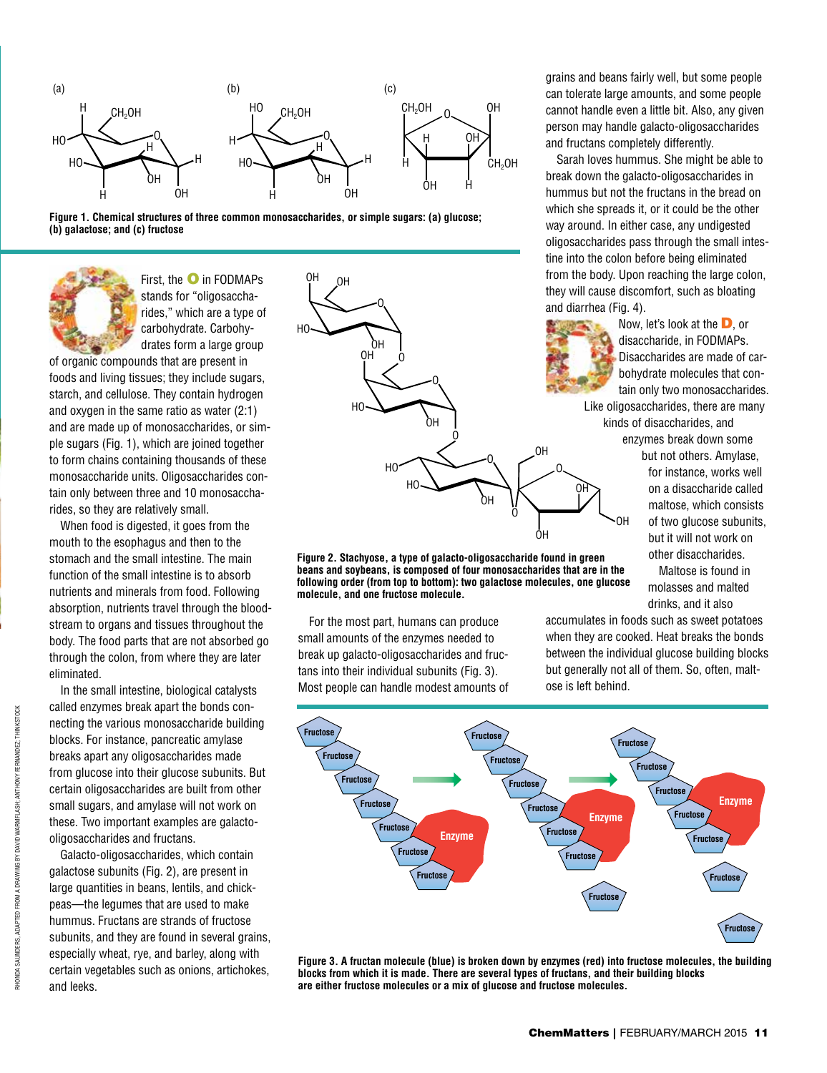





First, the O in FODMAPs stands for "oligosaccharides," which are a type of carbohydrate. Carbohydrates form a large group

of organic compounds that are present in foods and living tissues; they include sugars, starch, and cellulose. They contain hydrogen and oxygen in the same ratio as water (2:1) and are made up of monosaccharides, or simple sugars (Fig. 1), which are joined together to form chains containing thousands of these monosaccharide units. Oligosaccharides contain only between three and 10 monosaccharides, so they are relatively small.

When food is digested, it goes from the mouth to the esophagus and then to the stomach and the small intestine. The main function of the small intestine is to absorb nutrients and minerals from food. Following absorption, nutrients travel through the bloodstream to organs and tissues throughout the body. The food parts that are not absorbed go through the colon, from where they are later eliminated.

In the small intestine, biological catalysts called enzymes break apart the bonds connecting the various monosaccharide building blocks. For instance, pancreatic amylase breaks apart any oligosaccharides made from glucose into their glucose subunits. But certain oligosaccharides are built from other small sugars, and amylase will not work on these. Two important examples are galactooligosaccharides and fructans.

Galacto-oligosaccharides, which contain galactose subunits (Fig. 2), are present in large quantities in beans, lentils, and chickpeas—the legumes that are used to make hummus. Fructans are strands of fructose subunits, and they are found in several grains. especially wheat, rye, and barley, along with certain vegetables such as onions, artichokes, and leeks.



**Figure 2. Stachyose, a type of galacto-oligosaccharide found in green beans and soybeans, is composed of four monosaccharides that are in the following order (from top to bottom): two galactose molecules, one glucose molecule, and one fructose molecule.**

For the most part, humans can produce small amounts of the enzymes needed to break up galacto-oligosaccharides and fructans into their individual subunits (Fig. 3). Most people can handle modest amounts of accumulates in foods such as sweet potatoes when they are cooked. Heat breaks the bonds between the individual glucose building blocks but generally not all of them. So, often, maltose is left behind.

OH



**Figure 3. A fructan molecule (blue) is broken down by enzymes (red) into fructose molecules, the building blocks from which it is made. There are several types of fructans, and their building blocks are either fructose molecules or a mix of glucose and fructose molecules.**

grains and beans fairly well, but some people can tolerate large amounts, and some people cannot handle even a little bit. Also, any given person may handle galacto-oligosaccharides and fructans completely differently.

Sarah loves hummus. She might be able to break down the galacto-oligosaccharides in hummus but not the fructans in the bread on which she spreads it, or it could be the other way around. In either case, any undigested oligosaccharides pass through the small intestine into the colon before being eliminated from the body. Upon reaching the large colon, they will cause discomfort, such as bloating and diarrhea (Fig. 4).

Now, let's look at the D, or disaccharide, in FODMAPs. Disaccharides are made of carbohydrate molecules that contain only two monosaccharides.

Like oligosaccharides, there are many kinds of disaccharides, and

enzymes break down some but not others. Amylase, for instance, works well on a disaccharide called maltose, which consists of two glucose subunits, but it will not work on other disaccharides.

Maltose is found in molasses and malted drinks, and it also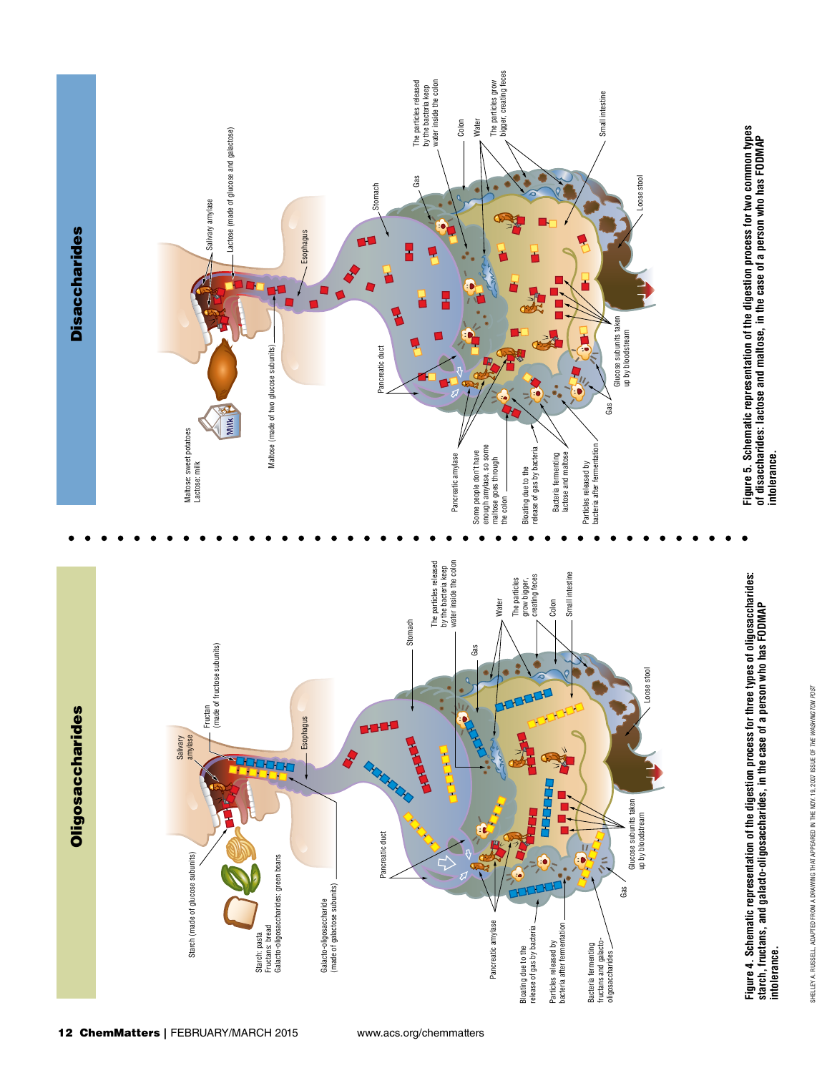